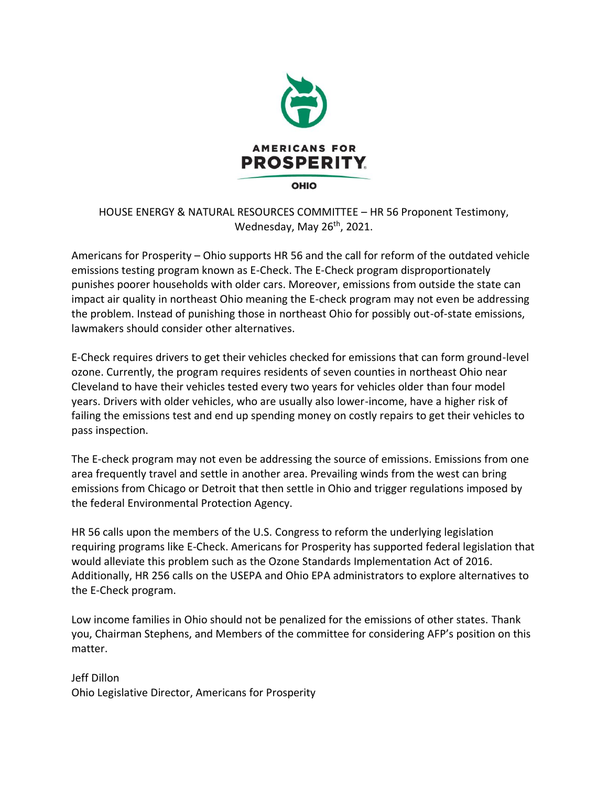

HOUSE ENERGY & NATURAL RESOURCES COMMITTEE – HR 56 Proponent Testimony, Wednesday, May 26<sup>th</sup>, 2021.

Americans for Prosperity – Ohio supports HR 56 and the call for reform of the outdated vehicle emissions testing program known as E-Check. The E-Check program disproportionately punishes poorer households with older cars. Moreover, emissions from outside the state can impact air quality in northeast Ohio meaning the E-check program may not even be addressing the problem. Instead of punishing those in northeast Ohio for possibly out-of-state emissions, lawmakers should consider other alternatives.

E-Check requires drivers to get their vehicles checked for emissions that can form ground-level ozone. Currently, the program requires residents of seven counties in northeast Ohio near Cleveland to have their vehicles tested every two years for vehicles older than four model years. Drivers with older vehicles, who are usually also lower-income, have a higher risk of failing the emissions test and end up spending money on costly repairs to get their vehicles to pass inspection.

The E-check program may not even be addressing the source of emissions. Emissions from one area frequently travel and settle in another area. Prevailing winds from the west can bring emissions from Chicago or Detroit that then settle in Ohio and trigger regulations imposed by the federal Environmental Protection Agency.

HR 56 calls upon the members of the U.S. Congress to reform the underlying legislation requiring programs like E-Check. Americans for Prosperity has supported federal legislation that would alleviate this problem such as the Ozone Standards Implementation Act of 2016. Additionally, HR 256 calls on the USEPA and Ohio EPA administrators to explore alternatives to the E-Check program.

Low income families in Ohio should not be penalized for the emissions of other states. Thank you, Chairman Stephens, and Members of the committee for considering AFP's position on this matter.

Jeff Dillon Ohio Legislative Director, Americans for Prosperity